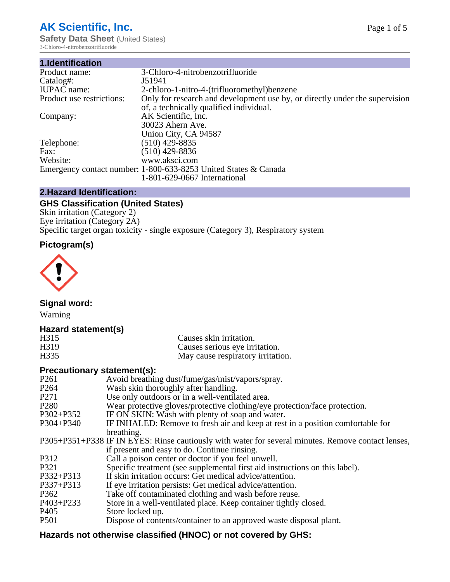# **AK Scientific, Inc.**

**Safety Data Sheet (United States)** 3-Chloro-4-nitrobenzotrifluoride

| 1.Identification          |                                                                             |
|---------------------------|-----------------------------------------------------------------------------|
| Product name:             | 3-Chloro-4-nitrobenzotrifluoride                                            |
| Catalog#:                 | J51941                                                                      |
| <b>IUPAC</b> name:        | 2-chloro-1-nitro-4-(trifluoromethyl) benzene                                |
| Product use restrictions: | Only for research and development use by, or directly under the supervision |
|                           | of, a technically qualified individual.                                     |
| Company:                  | AK Scientific, Inc.                                                         |
|                           | 30023 Ahern Ave.                                                            |
|                           | Union City, CA 94587                                                        |
| Telephone:                | $(510)$ 429-8835                                                            |
| Fax:                      | (510) 429-8836                                                              |
| Website:                  | www.aksci.com                                                               |
|                           | Emergency contact number: 1-800-633-8253 United States & Canada             |
|                           | 1-801-629-0667 International                                                |

## **2.Hazard Identification:**

# **GHS Classification (United States)**

Skin irritation (Category 2) Eye irritation (Category 2A) Specific target organ toxicity - single exposure (Category 3), Respiratory system

# **Pictogram(s)**



**Signal word:**

Warning

## **Hazard statement(s)**

| H315 | Causes skin irritation.           |
|------|-----------------------------------|
| H319 | Causes serious eye irritation.    |
| H335 | May cause respiratory irritation. |

### **Precautionary statement(s):**

| P <sub>261</sub> | Avoid breathing dust/fume/gas/mist/vapors/spray.                                                   |
|------------------|----------------------------------------------------------------------------------------------------|
| P <sub>264</sub> | Wash skin thoroughly after handling.                                                               |
| P <sub>271</sub> | Use only outdoors or in a well-ventilated area.                                                    |
| P <sub>280</sub> | Wear protective gloves/protective clothing/eye protection/face protection.                         |
| P302+P352        | IF ON SKIN: Wash with plenty of soap and water.                                                    |
| $P304 + P340$    | IF INHALED: Remove to fresh air and keep at rest in a position comfortable for                     |
|                  | breathing.                                                                                         |
|                  | P305+P351+P338 IF IN EYES: Rinse cautiously with water for several minutes. Remove contact lenses, |
|                  | if present and easy to do. Continue rinsing.                                                       |
| P312             | Call a poison center or doctor if you feel unwell.                                                 |
| P321             | Specific treatment (see supplemental first aid instructions on this label).                        |
| P332+P313        | If skin irritation occurs: Get medical advice/attention.                                           |
| P337+P313        | If eye irritation persists: Get medical advice/attention.                                          |
| P362             | Take off contaminated clothing and wash before reuse.                                              |
| $P403 + P233$    | Store in a well-ventilated place. Keep container tightly closed.                                   |
| P <sub>405</sub> | Store locked up.                                                                                   |
| P <sub>501</sub> | Dispose of contents/container to an approved waste disposal plant.                                 |
|                  |                                                                                                    |

# **Hazards not otherwise classified (HNOC) or not covered by GHS:**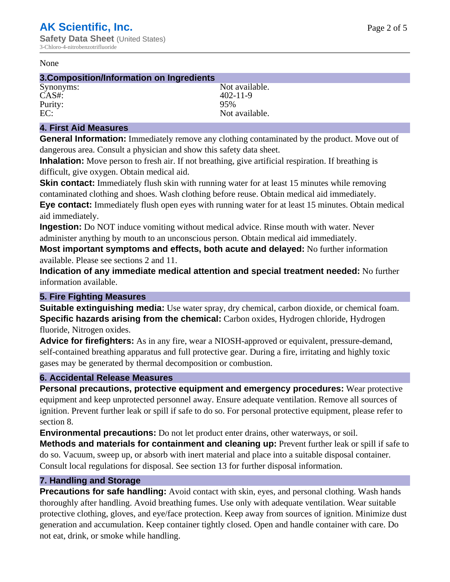#### None

### **3.Composition/Information on Ingredients**

CAS#: 402-11-9<br>Purity: 95% 95% Purity:<br>EC:

Synonyms: Not available. Not available.

## **4. First Aid Measures**

**General Information:** Immediately remove any clothing contaminated by the product. Move out of dangerous area. Consult a physician and show this safety data sheet.

**Inhalation:** Move person to fresh air. If not breathing, give artificial respiration. If breathing is difficult, give oxygen. Obtain medical aid.

**Skin contact:** Immediately flush skin with running water for at least 15 minutes while removing contaminated clothing and shoes. Wash clothing before reuse. Obtain medical aid immediately. **Eye contact:** Immediately flush open eyes with running water for at least 15 minutes. Obtain medical aid immediately.

**Ingestion:** Do NOT induce vomiting without medical advice. Rinse mouth with water. Never administer anything by mouth to an unconscious person. Obtain medical aid immediately.

**Most important symptoms and effects, both acute and delayed:** No further information available. Please see sections 2 and 11.

**Indication of any immediate medical attention and special treatment needed:** No further information available.

#### **5. Fire Fighting Measures**

**Suitable extinguishing media:** Use water spray, dry chemical, carbon dioxide, or chemical foam. **Specific hazards arising from the chemical:** Carbon oxides, Hydrogen chloride, Hydrogen fluoride, Nitrogen oxides.

**Advice for firefighters:** As in any fire, wear a NIOSH-approved or equivalent, pressure-demand, self-contained breathing apparatus and full protective gear. During a fire, irritating and highly toxic gases may be generated by thermal decomposition or combustion.

## **6. Accidental Release Measures**

**Personal precautions, protective equipment and emergency procedures:** Wear protective equipment and keep unprotected personnel away. Ensure adequate ventilation. Remove all sources of ignition. Prevent further leak or spill if safe to do so. For personal protective equipment, please refer to section 8.

**Environmental precautions:** Do not let product enter drains, other waterways, or soil.

**Methods and materials for containment and cleaning up:** Prevent further leak or spill if safe to do so. Vacuum, sweep up, or absorb with inert material and place into a suitable disposal container. Consult local regulations for disposal. See section 13 for further disposal information.

## **7. Handling and Storage**

**Precautions for safe handling:** Avoid contact with skin, eyes, and personal clothing. Wash hands thoroughly after handling. Avoid breathing fumes. Use only with adequate ventilation. Wear suitable protective clothing, gloves, and eye/face protection. Keep away from sources of ignition. Minimize dust generation and accumulation. Keep container tightly closed. Open and handle container with care. Do not eat, drink, or smoke while handling.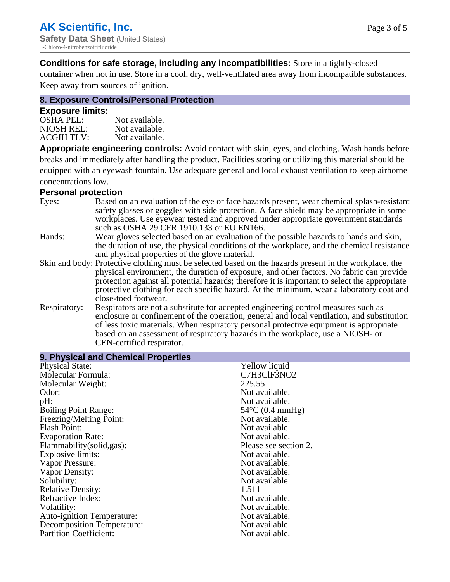**Conditions for safe storage, including any incompatibilities:** Store in a tightly-closed

container when not in use. Store in a cool, dry, well-ventilated area away from incompatible substances. Keep away from sources of ignition.

## **8. Exposure Controls/Personal Protection**

#### **Exposure limits:**

| <b>OSHA PEL:</b>  | Not available. |
|-------------------|----------------|
| NIOSH REL:        | Not available. |
| <b>ACGIH TLV:</b> | Not available. |

**Appropriate engineering controls:** Avoid contact with skin, eyes, and clothing. Wash hands before breaks and immediately after handling the product. Facilities storing or utilizing this material should be equipped with an eyewash fountain. Use adequate general and local exhaust ventilation to keep airborne concentrations low.

#### **Personal protection**

| Eyes:        | Based on an evaluation of the eye or face hazards present, wear chemical splash-resistant<br>safety glasses or goggles with side protection. A face shield may be appropriate in some<br>workplaces. Use eyewear tested and approved under appropriate government standards<br>such as OSHA 29 CFR 1910.133 or EU EN166. |
|--------------|--------------------------------------------------------------------------------------------------------------------------------------------------------------------------------------------------------------------------------------------------------------------------------------------------------------------------|
| Hands:       | Wear gloves selected based on an evaluation of the possible hazards to hands and skin,                                                                                                                                                                                                                                   |
|              | the duration of use, the physical conditions of the workplace, and the chemical resistance<br>and physical properties of the glove material.                                                                                                                                                                             |
|              | Skin and body: Protective clothing must be selected based on the hazards present in the workplace, the                                                                                                                                                                                                                   |
|              | physical environment, the duration of exposure, and other factors. No fabric can provide                                                                                                                                                                                                                                 |
|              | protection against all potential hazards; therefore it is important to select the appropriate<br>protective clothing for each specific hazard. At the minimum, wear a laboratory coat and                                                                                                                                |
|              | close-toed footwear.                                                                                                                                                                                                                                                                                                     |
| Respiratory: | Respirators are not a substitute for accepted engineering control measures such as<br>enclosure or confinement of the operation, general and local ventilation, and substitution<br>of less toxic materials. When respiratory personal protective equipment is appropriate                                               |
|              | based on an assessment of respiratory hazards in the workplace, use a NIOSH- or                                                                                                                                                                                                                                          |
|              | CEN-certified respirator.                                                                                                                                                                                                                                                                                                |

| 9. Physical and Chemical Properties |                           |  |
|-------------------------------------|---------------------------|--|
| <b>Physical State:</b>              | Yellow liquid             |  |
| Molecular Formula:                  | C7H3ClF3NO2               |  |
| Molecular Weight:                   | 225.55                    |  |
| Odor:                               | Not available.            |  |
| pH:                                 | Not available.            |  |
| <b>Boiling Point Range:</b>         | $54^{\circ}$ C (0.4 mmHg) |  |
| Freezing/Melting Point:             | Not available.            |  |
| <b>Flash Point:</b>                 | Not available.            |  |
| <b>Evaporation Rate:</b>            | Not available.            |  |
| Flammability (solid, gas):          | Please see section 2.     |  |
| Explosive limits:                   | Not available.            |  |
| Vapor Pressure:                     | Not available.            |  |
| Vapor Density:                      | Not available.            |  |
| Solubility:                         | Not available.            |  |
| <b>Relative Density:</b>            | 1.511                     |  |
| Refractive Index:                   | Not available.            |  |
| Volatility:                         | Not available.            |  |
| <b>Auto-ignition Temperature:</b>   | Not available.            |  |
| Decomposition Temperature:          | Not available.            |  |
| <b>Partition Coefficient:</b>       | Not available.            |  |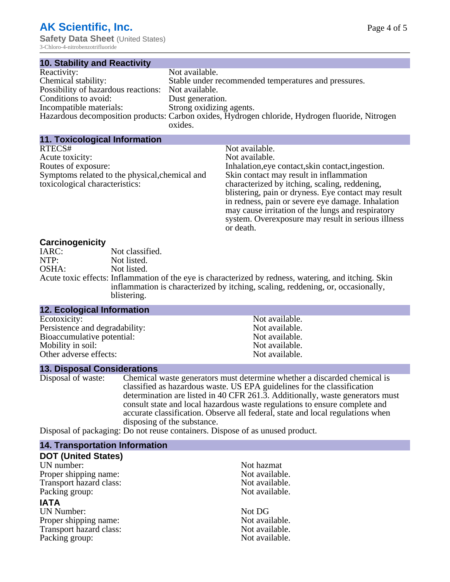3-Chloro-4-nitrobenzotrifluoride

| <b>10. Stability and Reactivity</b>                |                                                                                                 |
|----------------------------------------------------|-------------------------------------------------------------------------------------------------|
| Reactivity:                                        | Not available.                                                                                  |
| Chemical stability:                                | Stable under recommended temperatures and pressures.                                            |
| Possibility of hazardous reactions: Not available. |                                                                                                 |
| Conditions to avoid:                               | Dust generation.                                                                                |
| Incompatible materials:                            | Strong oxidizing agents.                                                                        |
|                                                    | Hazardous decomposition products: Carbon oxides, Hydrogen chloride, Hydrogen fluoride, Nitrogen |
|                                                    | oxides.                                                                                         |

**11. Toxicological Information** RTECS# Not available.<br>Acute toxicity: Not available.<br>Not available. Acute toxicity: Routes of exposure: Inhalation,eye contact,skin contact,ingestion.

Symptoms related to the physical,chemical and

Skin contact may result in inflammation characterized by itching, scaling, reddening, blistering, pain or dryness. Eye contact may result in redness, pain or severe eye damage. Inhalation may cause irritation of the lungs and respiratory system. Overexposure may result in serious illness or death.

#### **Carcinogenicity**

toxicological characteristics:

| $-$   |                                                                                                       |
|-------|-------------------------------------------------------------------------------------------------------|
| IARC: | Not classified.                                                                                       |
| NTP:  | Not listed.                                                                                           |
| OSHA: | Not listed.                                                                                           |
|       | Acute toxic effects: Inflammation of the eye is characterized by redness, watering, and itching. Skin |
|       | inflammation is characterized by itching, scaling, reddening, or, occasionally,                       |
|       | blistering.                                                                                           |

#### **12. Ecological Information**

Ecotoxicity: Not available.<br>
Not available.<br>
Not available.<br>
Not available. Persistence and degradability:<br>Bioaccumulative potential:<br>Not available. Bioaccumulative potential: Mobility in soil: Not available. Other adverse effects: Not available.

**13. Disposal Considerations**

Disposal of waste: Chemical waste generators must determine whether a discarded chemical is classified as hazardous waste. US EPA guidelines for the classification determination are listed in 40 CFR 261.3. Additionally, waste generators must consult state and local hazardous waste regulations to ensure complete and accurate classification. Observe all federal, state and local regulations when disposing of the substance.

Disposal of packaging: Do not reuse containers. Dispose of as unused product.

#### **14. Transportation Information**

#### **DOT (United States)**

UN number:<br>
Proper shipping name:<br>
Not available. Proper shipping name: Transport hazard class: Not available. Packing group: Not available.

#### **IATA**

UN Number: Not DG Proper shipping name:<br>
Transport hazard class:<br>
Not available. Transport hazard class: Not available.<br>
Packing group: Not available.<br>
Not available. Packing group: